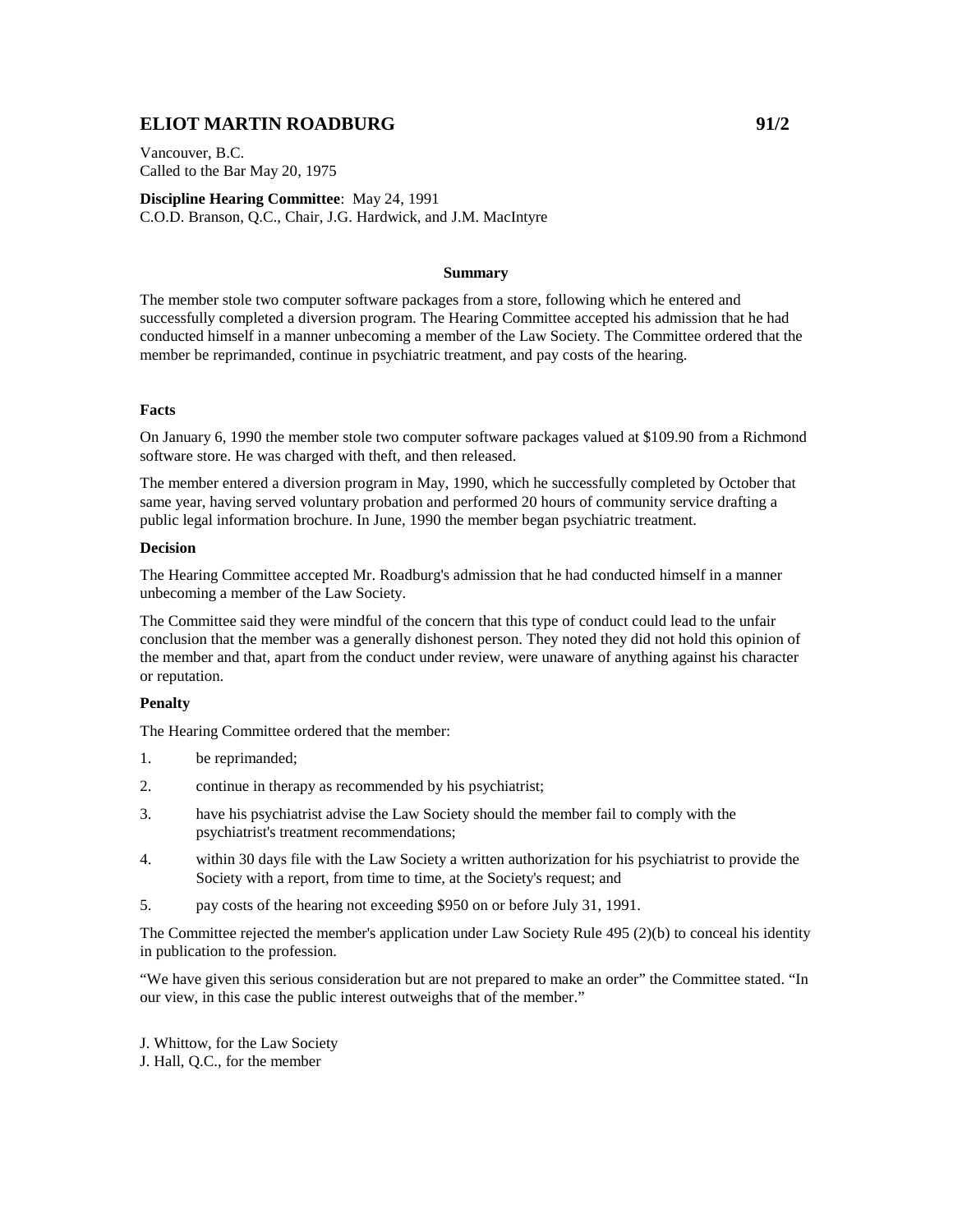# **ELIOT MARTIN ROADBURG 1999 91/2**

Vancouver, B.C. Called to the Bar May 20, 1975

**Discipline Hearing Committee**: May 24, 1991 C.O.D. Branson, Q.C., Chair, J.G. Hardwick, and J.M. MacIntyre

#### **Summary**

The member stole two computer software packages from a store, following which he entered and successfully completed a diversion program. The Hearing Committee accepted his admission that he had conducted himself in a manner unbecoming a member of the Law Society. The Committee ordered that the member be reprimanded, continue in psychiatric treatment, and pay costs of the hearing.

### **Facts**

On January 6, 1990 the member stole two computer software packages valued at \$109.90 from a Richmond software store. He was charged with theft, and then released.

The member entered a diversion program in May, 1990, which he successfully completed by October that same year, having served voluntary probation and performed 20 hours of community service drafting a public legal information brochure. In June, 1990 the member began psychiatric treatment.

## **Decision**

The Hearing Committee accepted Mr. Roadburg's admission that he had conducted himself in a manner unbecoming a member of the Law Society.

The Committee said they were mindful of the concern that this type of conduct could lead to the unfair conclusion that the member was a generally dishonest person. They noted they did not hold this opinion of the member and that, apart from the conduct under review, were unaware of anything against his character or reputation.

### **Penalty**

The Hearing Committee ordered that the member:

- 1. be reprimanded;
- 2. continue in therapy as recommended by his psychiatrist;
- 3. have his psychiatrist advise the Law Society should the member fail to comply with the psychiatrist's treatment recommendations;
- 4. within 30 days file with the Law Society a written authorization for his psychiatrist to provide the Society with a report, from time to time, at the Society's request; and
- 5. pay costs of the hearing not exceeding \$950 on or before July 31, 1991.

The Committee rejected the member's application under Law Society Rule 495 (2)(b) to conceal his identity in publication to the profession.

"We have given this serious consideration but are not prepared to make an order" the Committee stated. "In our view, in this case the public interest outweighs that of the member."

J. Whittow, for the Law Society J. Hall, Q.C., for the member